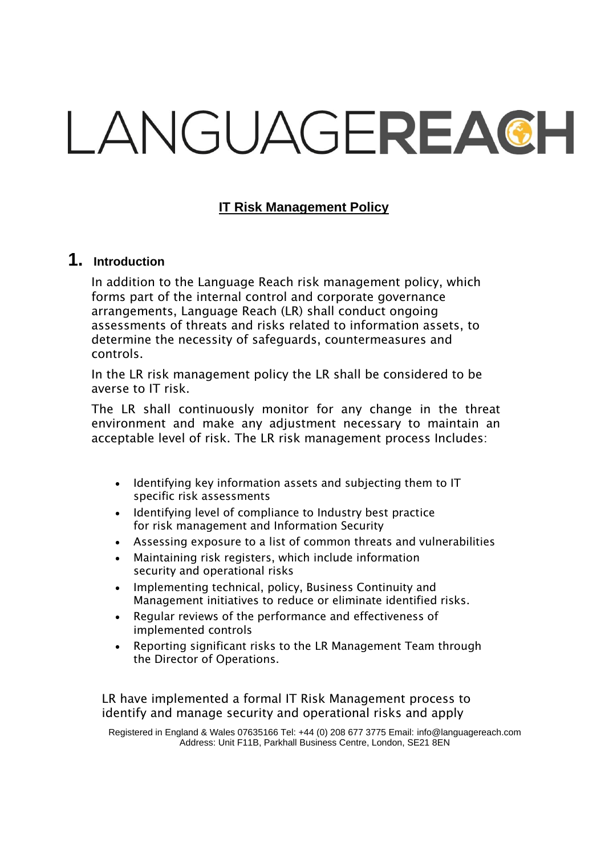# LANGUAGEREACH

# **IT Risk Management Policy**

# **1. Introduction**

In addition to the Language Reach risk management policy, which forms part of the internal control and corporate governance arrangements, Language Reach (LR) shall conduct ongoing assessments of threats and risks related to information assets, to determine the necessity of safeguards, countermeasures and controls.

In the LR risk management policy the LR shall be considered to be averse to IT risk.

The LR shall continuously monitor for any change in the threat environment and make any adjustment necessary to maintain an acceptable level of risk. The LR risk management process Includes:

- Identifying key information assets and subjecting them to IT specific risk assessments
- Identifying level of compliance to Industry best practice for risk management and Information Security
- Assessing exposure to a list of common threats and vulnerabilities
- Maintaining risk registers, which include information security and operational risks
- Implementing technical, policy, Business Continuity and Management initiatives to reduce or eliminate identified risks.
- Regular reviews of the performance and effectiveness of implemented controls
- Reporting significant risks to the LR Management Team through the Director of Operations.

LR have implemented a formal IT Risk Management process to identify and manage security and operational risks and apply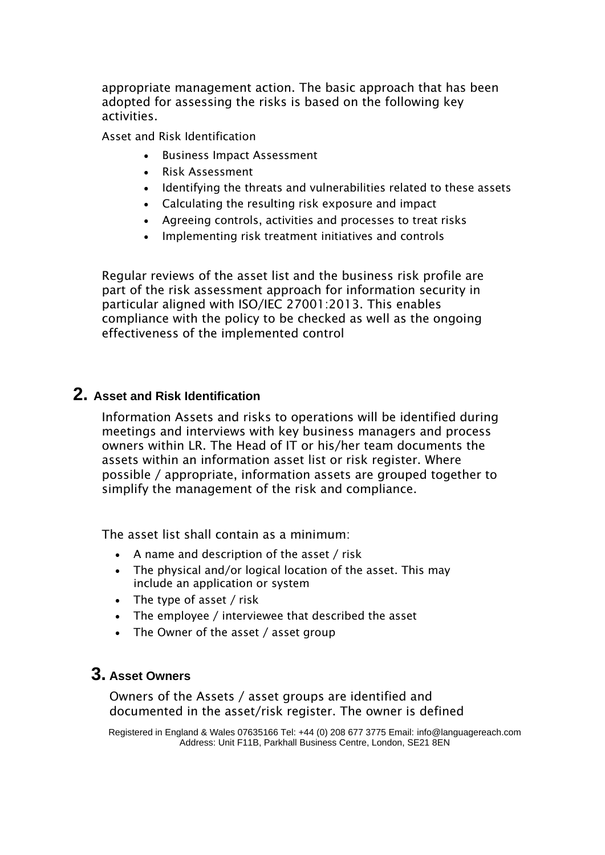appropriate management action. The basic approach that has been adopted for assessing the risks is based on the following key activities.

Asset and Risk Identification

- Business Impact Assessment
- Risk Assessment
- Identifying the threats and vulnerabilities related to these assets
- Calculating the resulting risk exposure and impact
- Agreeing controls, activities and processes to treat risks
- Implementing risk treatment initiatives and controls

Regular reviews of the asset list and the business risk profile are part of the risk assessment approach for information security in particular aligned with ISO/IEC 27001:2013. This enables compliance with the policy to be checked as well as the ongoing effectiveness of the implemented control

# **2. Asset and Risk Identification**

Information Assets and risks to operations will be identified during meetings and interviews with key business managers and process owners within LR. The Head of IT or his/her team documents the assets within an information asset list or risk register. Where possible / appropriate, information assets are grouped together to simplify the management of the risk and compliance.

The asset list shall contain as a minimum:

- A name and description of the asset / risk
- The physical and/or logical location of the asset. This may include an application or system
- The type of asset / risk
- The employee / interviewee that described the asset
- The Owner of the asset / asset group

# **3. Asset Owners**

Owners of the Assets / asset groups are identified and documented in the asset/risk register. The owner is defined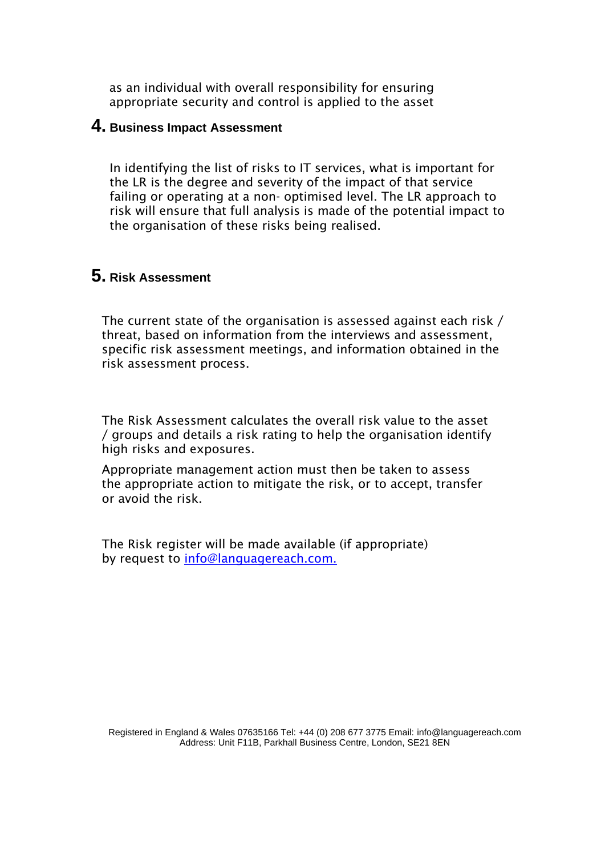as an individual with overall responsibility for ensuring appropriate security and control is applied to the asset

#### **4. Business Impact Assessment**

In identifying the list of risks to IT services, what is important for the LR is the degree and severity of the impact of that service failing or operating at a non- optimised level. The LR approach to risk will ensure that full analysis is made of the potential impact to the organisation of these risks being realised.

# **5. Risk Assessment**

The current state of the organisation is assessed against each risk / threat, based on information from the interviews and assessment, specific risk assessment meetings, and information obtained in the risk assessment process.

The Risk Assessment calculates the overall risk value to the asset / groups and details a risk rating to help the organisation identify high risks and exposures.

Appropriate management action must then be taken to assess the appropriate action to mitigate the risk, or to accept, transfer or avoid the risk.

The Risk register will be made available (if appropriate) by request to [info@languagereach.com.](mailto:info@languagereach.com.)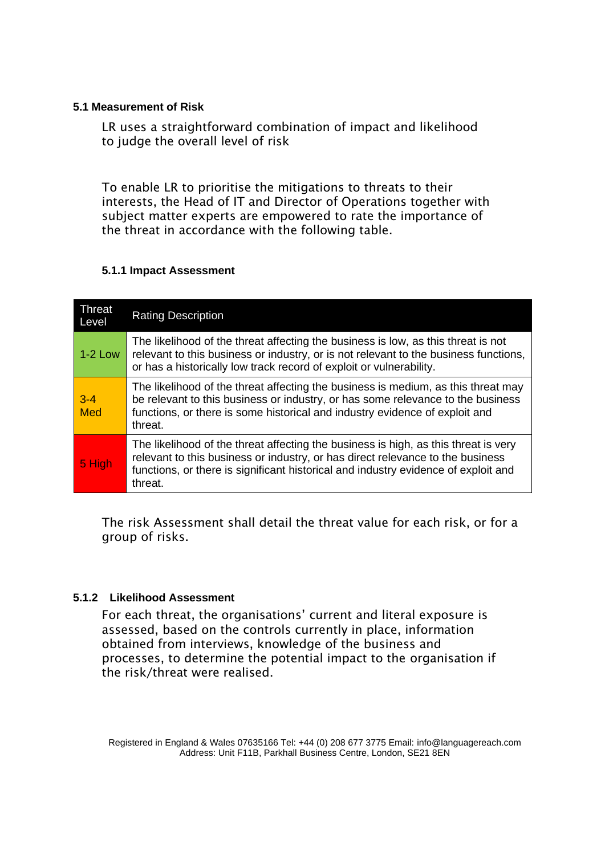#### **5.1 Measurement of Risk**

LR uses a straightforward combination of impact and likelihood to judge the overall level of risk

To enable LR to prioritise the mitigations to threats to their interests, the Head of IT and Director of Operations together with subject matter experts are empowered to rate the importance of the threat in accordance with the following table.

#### **5.1.1 Impact Assessment**

| Threat<br>Level | <b>Rating Description</b>                                                                                                                                                                                                                                              |
|-----------------|------------------------------------------------------------------------------------------------------------------------------------------------------------------------------------------------------------------------------------------------------------------------|
| $1-2$ Low       | The likelihood of the threat affecting the business is low, as this threat is not<br>relevant to this business or industry, or is not relevant to the business functions,<br>or has a historically low track record of exploit or vulnerability.                       |
| $3 - 4$<br>Med  | The likelihood of the threat affecting the business is medium, as this threat may<br>be relevant to this business or industry, or has some relevance to the business<br>functions, or there is some historical and industry evidence of exploit and<br>threat.         |
| 5 High          | The likelihood of the threat affecting the business is high, as this threat is very<br>relevant to this business or industry, or has direct relevance to the business<br>functions, or there is significant historical and industry evidence of exploit and<br>threat. |

The risk Assessment shall detail the threat value for each risk, or for a group of risks.

#### **5.1.2 Likelihood Assessment**

For each threat, the organisations' current and literal exposure is assessed, based on the controls currently in place, information obtained from interviews, knowledge of the business and processes, to determine the potential impact to the organisation if the risk/threat were realised.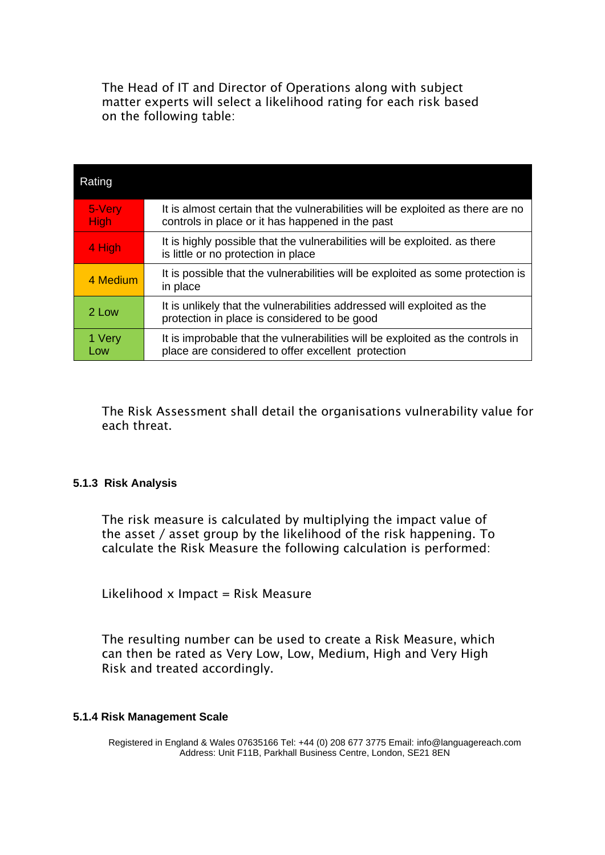The Head of IT and Director of Operations along with subject matter experts will select a likelihood rating for each risk based on the following table:

| Rating                |                                                                                                                                      |
|-----------------------|--------------------------------------------------------------------------------------------------------------------------------------|
| 5-Very<br><b>High</b> | It is almost certain that the vulnerabilities will be exploited as there are no<br>controls in place or it has happened in the past  |
| 4 High                | It is highly possible that the vulnerabilities will be exploited, as there<br>is little or no protection in place                    |
| 4 Medium              | It is possible that the vulnerabilities will be exploited as some protection is<br>in place                                          |
| 2 Low                 | It is unlikely that the vulnerabilities addressed will exploited as the<br>protection in place is considered to be good              |
| 1 Very<br>Low         | It is improbable that the vulnerabilities will be exploited as the controls in<br>place are considered to offer excellent protection |

The Risk Assessment shall detail the organisations vulnerability value for each threat.

#### **5.1.3 Risk Analysis**

The risk measure is calculated by multiplying the impact value of the asset / asset group by the likelihood of the risk happening. To calculate the Risk Measure the following calculation is performed:

Likelihood  $x$  Impact = Risk Measure

The resulting number can be used to create a Risk Measure, which can then be rated as Very Low, Low, Medium, High and Very High Risk and treated accordingly.

#### **5.1.4 Risk Management Scale**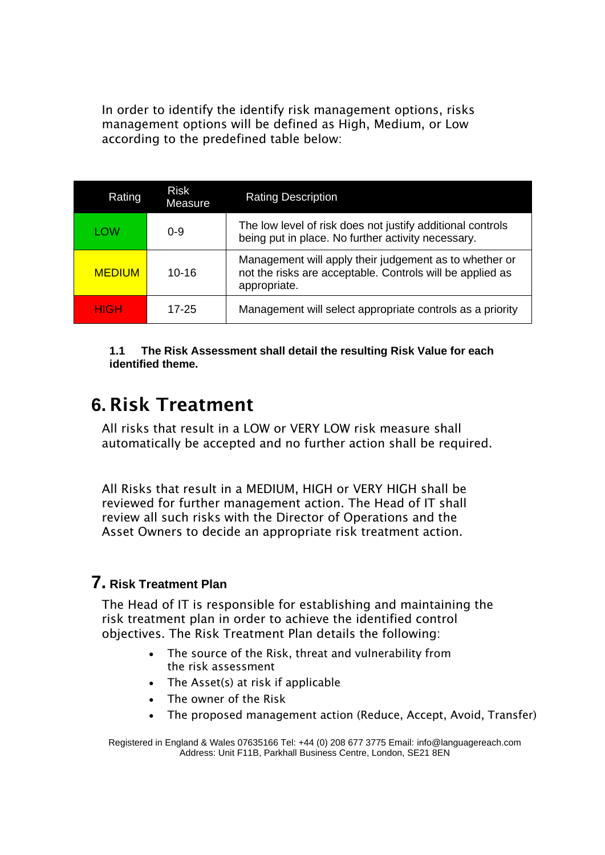In order to identify the identify risk management options, risks management options will be defined as High, Medium, or Low according to the predefined table below:

| Rating        | Risk<br>Measure | <b>Rating Description</b>                                                                                                           |
|---------------|-----------------|-------------------------------------------------------------------------------------------------------------------------------------|
| LOW           | $0 - 9$         | The low level of risk does not justify additional controls<br>being put in place. No further activity necessary.                    |
| <b>MEDIUM</b> | $10 - 16$       | Management will apply their judgement as to whether or<br>not the risks are acceptable. Controls will be applied as<br>appropriate. |
| HIGH          | 17-25           | Management will select appropriate controls as a priority                                                                           |

**1.1 The Risk Assessment shall detail the resulting Risk Value for each identified theme.**

# **6.** Risk Treatment

All risks that result in a LOW or VERY LOW risk measure shall automatically be accepted and no further action shall be required.

All Risks that result in a MEDIUM, HIGH or VERY HIGH shall be reviewed for further management action. The Head of IT shall review all such risks with the Director of Operations and the Asset Owners to decide an appropriate risk treatment action.

# **7. Risk Treatment Plan**

The Head of IT is responsible for establishing and maintaining the risk treatment plan in order to achieve the identified control objectives. The Risk Treatment Plan details the following:

- The source of the Risk, threat and vulnerability from the risk assessment
- The Asset(s) at risk if applicable
- The owner of the Risk
- The proposed management action (Reduce, Accept, Avoid, Transfer)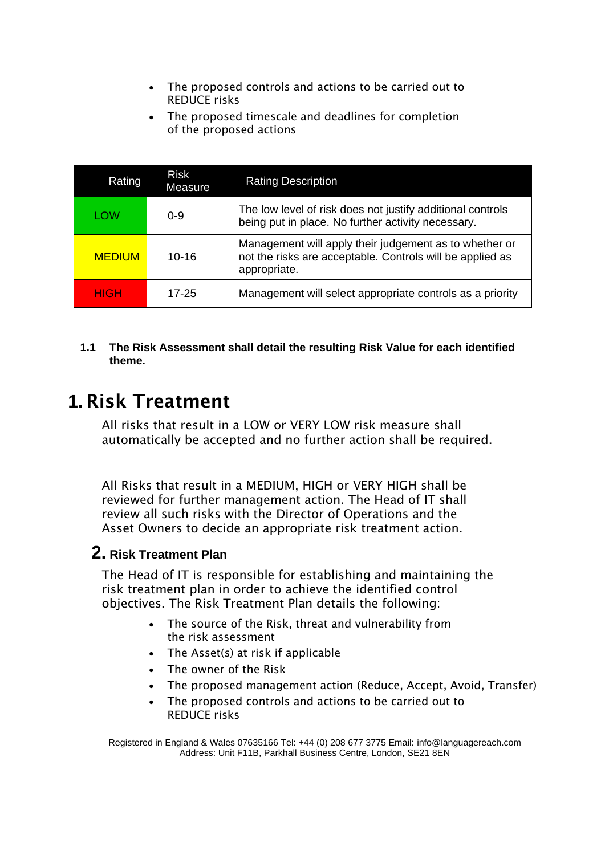- The proposed controls and actions to be carried out to REDUCE risks
- The proposed timescale and deadlines for completion of the proposed actions

| Rating        | <b>Risk</b><br>Measure | <b>Rating Description</b>                                                                                                           |
|---------------|------------------------|-------------------------------------------------------------------------------------------------------------------------------------|
| LOW           | $0 - 9$                | The low level of risk does not justify additional controls<br>being put in place. No further activity necessary.                    |
| <b>MEDIUM</b> | $10 - 16$              | Management will apply their judgement as to whether or<br>not the risks are acceptable. Controls will be applied as<br>appropriate. |
| HIGH          | 17-25                  | Management will select appropriate controls as a priority                                                                           |

#### **1.1 The Risk Assessment shall detail the resulting Risk Value for each identified theme.**

# **1.** Risk Treatment

All risks that result in a LOW or VERY LOW risk measure shall automatically be accepted and no further action shall be required.

All Risks that result in a MEDIUM, HIGH or VERY HIGH shall be reviewed for further management action. The Head of IT shall review all such risks with the Director of Operations and the Asset Owners to decide an appropriate risk treatment action.

# **2. Risk Treatment Plan**

The Head of IT is responsible for establishing and maintaining the risk treatment plan in order to achieve the identified control objectives. The Risk Treatment Plan details the following:

- The source of the Risk, threat and vulnerability from the risk assessment
- The Asset(s) at risk if applicable
- The owner of the Risk
- The proposed management action (Reduce, Accept, Avoid, Transfer)
- The proposed controls and actions to be carried out to REDUCE risks